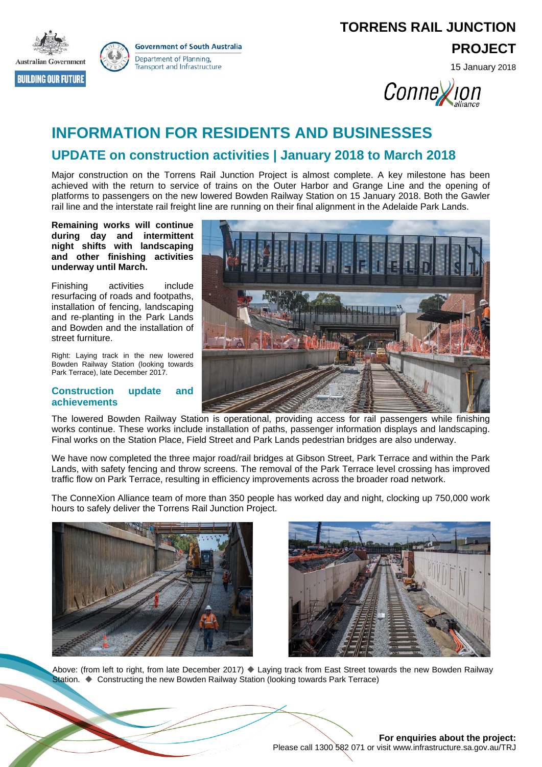



**TORRENS RAIL JUNCTION**

**PROJECT**

15 January 2018

Conney on

# **INFORMATION FOR RESIDENTS AND BUSINESSES**

# **UPDATE on construction activities | January 2018 to March 2018**

Major construction on the Torrens Rail Junction Project is almost complete. A key milestone has been achieved with the return to service of trains on the Outer Harbor and Grange Line and the opening of platforms to passengers on the new lowered Bowden Railway Station on 15 January 2018. Both the Gawler rail line and the interstate rail freight line are running on their final alignment in the Adelaide Park Lands.

**Remaining works will continue during day and intermittent night shifts with landscaping and other finishing activities underway until March.**

Finishing activities include resurfacing of roads and footpaths, installation of fencing, landscaping and re-planting in the Park Lands and Bowden and the installation of street furniture.

Right: Laying track in the new lowered Bowden Railway Station (looking towards Park Terrace), late December 2017.

### **Construction update and achievements**



The lowered Bowden Railway Station is operational, providing access for rail passengers while finishing works continue. These works include installation of paths, passenger information displays and landscaping. Final works on the Station Place, Field Street and Park Lands pedestrian bridges are also underway.

We have now completed the three major road/rail bridges at Gibson Street, Park Terrace and within the Park Lands, with safety fencing and throw screens. The removal of the Park Terrace level crossing has improved traffic flow on Park Terrace, resulting in efficiency improvements across the broader road network.

The ConneXion Alliance team of more than 350 people has worked day and night, clocking up 750,000 work hours to safely deliver the Torrens Rail Junction Project.





Above: (from left to right, from late December 2017) ♦ Laying track from East Street towards the new Bowden Railway Station.  $\blacklozenge$  Constructing the new Bowden Railway Station (looking towards Park Terrace)

### **For enquiries about the project:** Please call 1300 582 071 or visit www.infrastructure.sa.gov.au/TRJ